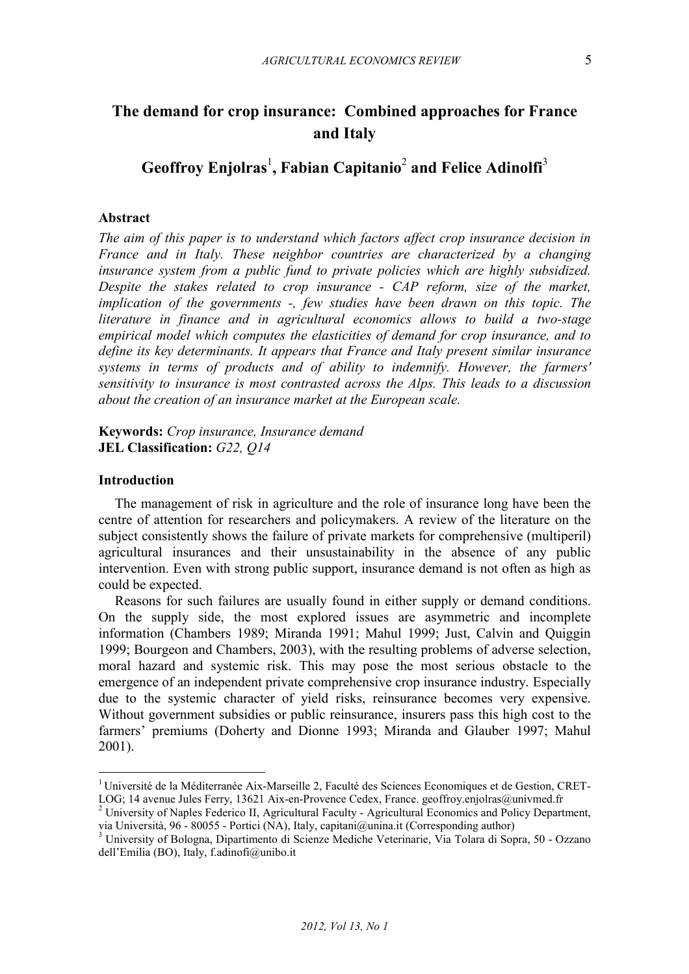# **The demand for crop insurance: Combined approaches for France and Italy**

 $\bf{Geoffroy\ Enjolras}^1, \bf Fabian\ Capit tanio^2$  and Felice Adinolfi<sup>3</sup>

#### **Abstract**

*The aim of this paper is to understand which factors affect crop insurance decision in France and in Italy. These neighbor countries are characterized by a changing insurance system from a public fund to private policies which are highly subsidized. Despite the stakes related to crop insurance - CAP reform, size of the market, implication of the governments -, few studies have been drawn on this topic. The literature in finance and in agricultural economics allows to build a two-stage empirical model which computes the elasticities of demand for crop insurance, and to define its key determinants. It appears that France and Italy present similar insurance systems in terms of products and of ability to indemnify. However, the farmers' sensitivity to insurance is most contrasted across the Alps. This leads to a discussion about the creation of an insurance market at the European scale.* 

**Keywords:** *Crop insurance, Insurance demand* **JEL Classification:** *G22, Q14*

#### **Introduction**

 $\overline{a}$ 

The management of risk in agriculture and the role of insurance long have been the centre of attention for researchers and policymakers. A review of the literature on the subject consistently shows the failure of private markets for comprehensive (multiperil) agricultural insurances and their unsustainability in the absence of any public intervention. Even with strong public support, insurance demand is not often as high as could be expected.

Reasons for such failures are usually found in either supply or demand conditions. On the supply side, the most explored issues are asymmetric and incomplete information (Chambers 1989; Miranda 1991; Mahul 1999; Just, Calvin and Quiggin 1999; Bourgeon and Chambers, 2003), with the resulting problems of adverse selection, moral hazard and systemic risk. This may pose the most serious obstacle to the emergence of an independent private comprehensive crop insurance industry. Especially due to the systemic character of yield risks, reinsurance becomes very expensive. Without government subsidies or public reinsurance, insurers pass this high cost to the farmers' premiums (Doherty and Dionne 1993; Miranda and Glauber 1997; Mahul 2001).

<sup>&</sup>lt;sup>1</sup> Université de la Méditerranée Aix-Marseille 2, Faculté des Sciences Economiques et de Gestion, CRET-LOG; 14 avenue Jules Ferry, 13621 Aix-en-Provence Cedex, France. geoffroy.enjolras@univmed.fr

<sup>&</sup>lt;sup>2</sup> University of Naples Federico II, Agricultural Faculty - Agricultural Economics and Policy Department, via Università, 96 - 80055 - Portici (NA), Italy, capitani@unina.it (Corresponding author)

<sup>&</sup>lt;sup>3</sup> University of Bologna, Dipartimento di Scienze Mediche Veterinarie, Via Tolara di Sopra, 50 - Ozzano dell'Emilia (BO), Italy, f.adinofi@unibo.it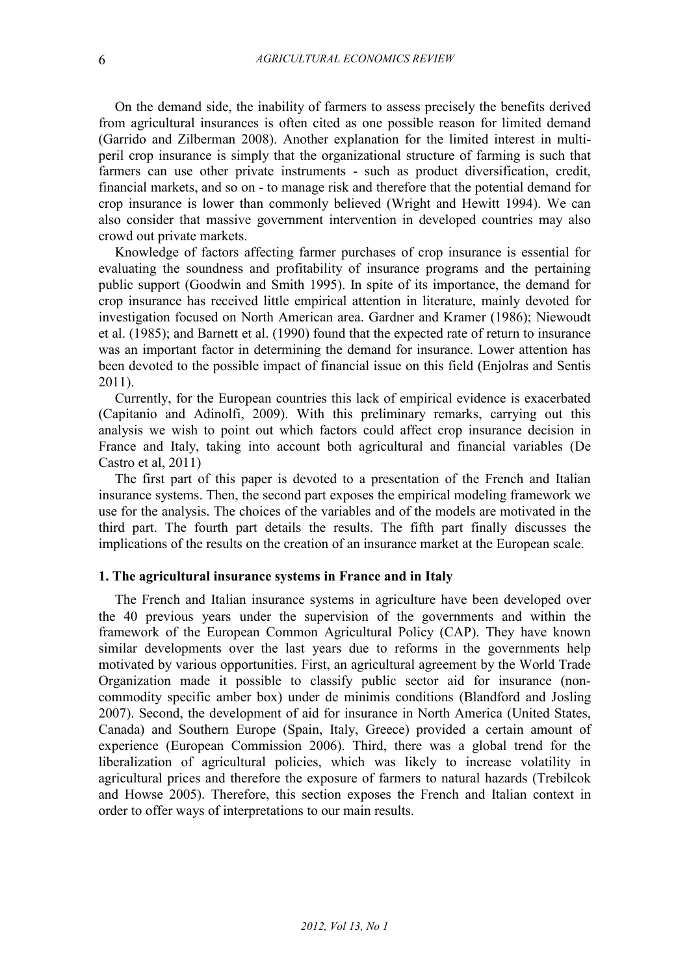On the demand side, the inability of farmers to assess precisely the benefits derived from agricultural insurances is often cited as one possible reason for limited demand (Garrido and Zilberman 2008). Another explanation for the limited interest in multiperil crop insurance is simply that the organizational structure of farming is such that farmers can use other private instruments - such as product diversification, credit, financial markets, and so on - to manage risk and therefore that the potential demand for crop insurance is lower than commonly believed (Wright and Hewitt 1994). We can also consider that massive government intervention in developed countries may also crowd out private markets.

Knowledge of factors affecting farmer purchases of crop insurance is essential for evaluating the soundness and profitability of insurance programs and the pertaining public support (Goodwin and Smith 1995). In spite of its importance, the demand for crop insurance has received little empirical attention in literature, mainly devoted for investigation focused on North American area. Gardner and Kramer (1986); Niewoudt et al. (1985); and Barnett et al. (1990) found that the expected rate of return to insurance was an important factor in determining the demand for insurance. Lower attention has been devoted to the possible impact of financial issue on this field (Enjolras and Sentis 2011).

Currently, for the European countries this lack of empirical evidence is exacerbated (Capitanio and Adinolfi, 2009). With this preliminary remarks, carrying out this analysis we wish to point out which factors could affect crop insurance decision in France and Italy, taking into account both agricultural and financial variables (De Castro et al, 2011)

The first part of this paper is devoted to a presentation of the French and Italian insurance systems. Then, the second part exposes the empirical modeling framework we use for the analysis. The choices of the variables and of the models are motivated in the third part. The fourth part details the results. The fifth part finally discusses the implications of the results on the creation of an insurance market at the European scale.

## **1. The agricultural insurance systems in France and in Italy**

The French and Italian insurance systems in agriculture have been developed over the 40 previous years under the supervision of the governments and within the framework of the European Common Agricultural Policy (CAP). They have known similar developments over the last years due to reforms in the governments help motivated by various opportunities. First, an agricultural agreement by the World Trade Organization made it possible to classify public sector aid for insurance (noncommodity specific amber box) under de minimis conditions (Blandford and Josling 2007). Second, the development of aid for insurance in North America (United States, Canada) and Southern Europe (Spain, Italy, Greece) provided a certain amount of experience (European Commission 2006). Third, there was a global trend for the liberalization of agricultural policies, which was likely to increase volatility in agricultural prices and therefore the exposure of farmers to natural hazards (Trebilcok and Howse 2005). Therefore, this section exposes the French and Italian context in order to offer ways of interpretations to our main results.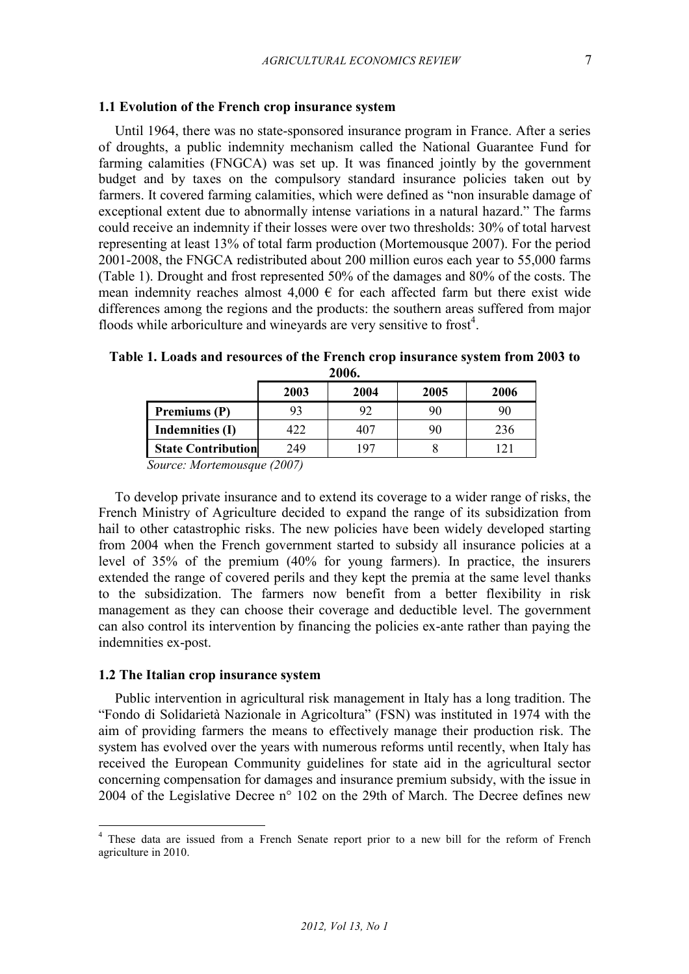### **1.1 Evolution of the French crop insurance system**

Until 1964, there was no state-sponsored insurance program in France. After a series of droughts, a public indemnity mechanism called the National Guarantee Fund for farming calamities (FNGCA) was set up. It was financed jointly by the government budget and by taxes on the compulsory standard insurance policies taken out by farmers. It covered farming calamities, which were defined as "non insurable damage of exceptional extent due to abnormally intense variations in a natural hazard." The farms could receive an indemnity if their losses were over two thresholds: 30% of total harvest representing at least 13% of total farm production (Mortemousque 2007). For the period 2001-2008, the FNGCA redistributed about 200 million euros each year to 55,000 farms (Table 1). Drought and frost represented 50% of the damages and 80% of the costs. The mean indemnity reaches almost  $4,000 \in$  for each affected farm but there exist wide differences among the regions and the products: the southern areas suffered from major floods while arboriculture and wineyards are very sensitive to frost<sup>4</sup>.

|                           | 2003 | 2004 | 2005 | 2006 |
|---------------------------|------|------|------|------|
| Premiums (P)              |      | 92   | 90   | 90   |
| Indemnities (I)           | 422  | 407  | 90   | 236  |
| <b>State Contribution</b> | 249  | ۱۹7  |      |      |

**Table 1. Loads and resources of the French crop insurance system from 2003 to 2006.** 

*Source: Mortemousque (2007)* 

To develop private insurance and to extend its coverage to a wider range of risks, the French Ministry of Agriculture decided to expand the range of its subsidization from hail to other catastrophic risks. The new policies have been widely developed starting from 2004 when the French government started to subsidy all insurance policies at a level of 35% of the premium (40% for young farmers). In practice, the insurers extended the range of covered perils and they kept the premia at the same level thanks to the subsidization. The farmers now benefit from a better flexibility in risk management as they can choose their coverage and deductible level. The government can also control its intervention by financing the policies ex-ante rather than paying the indemnities ex-post.

## **1.2 The Italian crop insurance system**

Public intervention in agricultural risk management in Italy has a long tradition. The "Fondo di Solidarietà Nazionale in Agricoltura" (FSN) was instituted in 1974 with the aim of providing farmers the means to effectively manage their production risk. The system has evolved over the years with numerous reforms until recently, when Italy has received the European Community guidelines for state aid in the agricultural sector concerning compensation for damages and insurance premium subsidy, with the issue in 2004 of the Legislative Decree n° 102 on the 29th of March. The Decree defines new

<sup>&</sup>lt;sup>4</sup> These data are issued from a French Senate report prior to a new bill for the reform of French agriculture in 2010.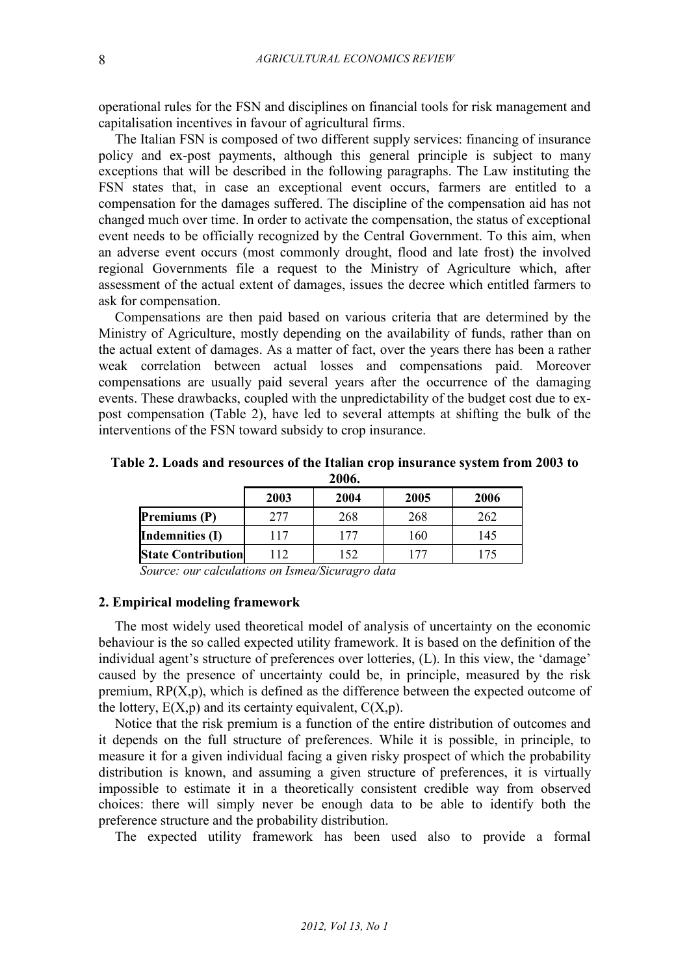operational rules for the FSN and disciplines on financial tools for risk management and capitalisation incentives in favour of agricultural firms.

The Italian FSN is composed of two different supply services: financing of insurance policy and ex-post payments, although this general principle is subject to many exceptions that will be described in the following paragraphs. The Law instituting the FSN states that, in case an exceptional event occurs, farmers are entitled to a compensation for the damages suffered. The discipline of the compensation aid has not changed much over time. In order to activate the compensation, the status of exceptional event needs to be officially recognized by the Central Government. To this aim, when an adverse event occurs (most commonly drought, flood and late frost) the involved regional Governments file a request to the Ministry of Agriculture which, after assessment of the actual extent of damages, issues the decree which entitled farmers to ask for compensation.

Compensations are then paid based on various criteria that are determined by the Ministry of Agriculture, mostly depending on the availability of funds, rather than on the actual extent of damages. As a matter of fact, over the years there has been a rather weak correlation between actual losses and compensations paid. Moreover compensations are usually paid several years after the occurrence of the damaging events. These drawbacks, coupled with the unpredictability of the budget cost due to expost compensation (Table 2), have led to several attempts at shifting the bulk of the interventions of the FSN toward subsidy to crop insurance.

**Table 2. Loads and resources of the Italian crop insurance system from 2003 to 2006.** 

|                           | 2003 | 2004 | 2005 | 2006 |
|---------------------------|------|------|------|------|
| <b>Premiums (P)</b>       | 277  | 268  | 268  | 262  |
| Indemnities (I)           | 117  | 177  | 160  | 145  |
| <b>State Contribution</b> |      | .52  | 177  | 75   |

*Source: our calculations on Ismea/Sicuragro data* 

#### **2. Empirical modeling framework**

The most widely used theoretical model of analysis of uncertainty on the economic behaviour is the so called expected utility framework. It is based on the definition of the individual agent's structure of preferences over lotteries, (L). In this view, the 'damage' caused by the presence of uncertainty could be, in principle, measured by the risk premium, RP(X,p), which is defined as the difference between the expected outcome of the lottery,  $E(X, p)$  and its certainty equivalent,  $C(X, p)$ .

Notice that the risk premium is a function of the entire distribution of outcomes and it depends on the full structure of preferences. While it is possible, in principle, to measure it for a given individual facing a given risky prospect of which the probability distribution is known, and assuming a given structure of preferences, it is virtually impossible to estimate it in a theoretically consistent credible way from observed choices: there will simply never be enough data to be able to identify both the preference structure and the probability distribution.

The expected utility framework has been used also to provide a formal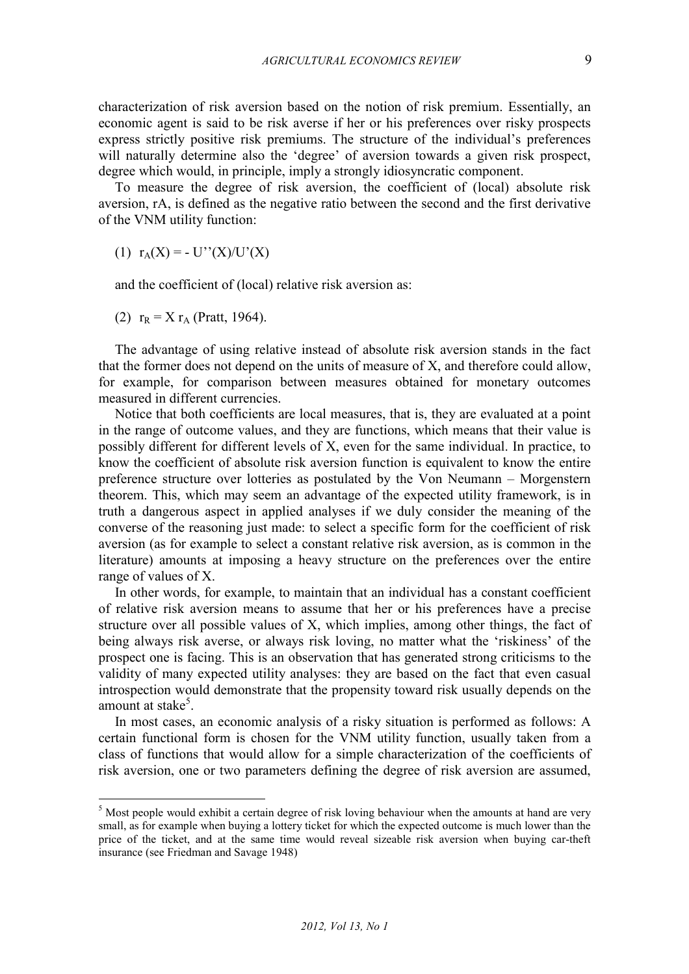characterization of risk aversion based on the notion of risk premium. Essentially, an economic agent is said to be risk averse if her or his preferences over risky prospects express strictly positive risk premiums. The structure of the individual's preferences will naturally determine also the 'degree' of aversion towards a given risk prospect, degree which would, in principle, imply a strongly idiosyncratic component.

To measure the degree of risk aversion, the coefficient of (local) absolute risk aversion, rA, is defined as the negative ratio between the second and the first derivative of the VNM utility function:

(1)  $r_A(X) = -U''(X)/U'(X)$ 

and the coefficient of (local) relative risk aversion as:

(2)  $r_R = X r_A$  (Pratt, 1964).

The advantage of using relative instead of absolute risk aversion stands in the fact that the former does not depend on the units of measure of X, and therefore could allow, for example, for comparison between measures obtained for monetary outcomes measured in different currencies.

Notice that both coefficients are local measures, that is, they are evaluated at a point in the range of outcome values, and they are functions, which means that their value is possibly different for different levels of X, even for the same individual. In practice, to know the coefficient of absolute risk aversion function is equivalent to know the entire preference structure over lotteries as postulated by the Von Neumann – Morgenstern theorem. This, which may seem an advantage of the expected utility framework, is in truth a dangerous aspect in applied analyses if we duly consider the meaning of the converse of the reasoning just made: to select a specific form for the coefficient of risk aversion (as for example to select a constant relative risk aversion, as is common in the literature) amounts at imposing a heavy structure on the preferences over the entire range of values of X.

In other words, for example, to maintain that an individual has a constant coefficient of relative risk aversion means to assume that her or his preferences have a precise structure over all possible values of X, which implies, among other things, the fact of being always risk averse, or always risk loving, no matter what the 'riskiness' of the prospect one is facing. This is an observation that has generated strong criticisms to the validity of many expected utility analyses: they are based on the fact that even casual introspection would demonstrate that the propensity toward risk usually depends on the amount at stake<sup>5</sup>.

In most cases, an economic analysis of a risky situation is performed as follows: A certain functional form is chosen for the VNM utility function, usually taken from a class of functions that would allow for a simple characterization of the coefficients of risk aversion, one or two parameters defining the degree of risk aversion are assumed,

<sup>&</sup>lt;sup>5</sup> Most people would exhibit a certain degree of risk loving behaviour when the amounts at hand are very small, as for example when buying a lottery ticket for which the expected outcome is much lower than the price of the ticket, and at the same time would reveal sizeable risk aversion when buying car-theft insurance (see Friedman and Savage 1948)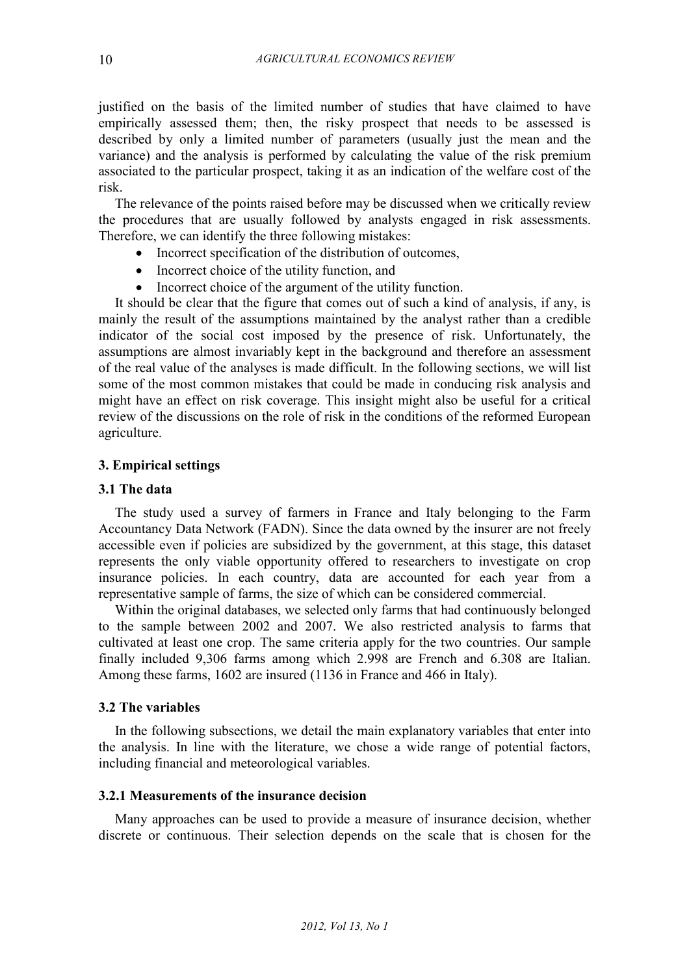justified on the basis of the limited number of studies that have claimed to have empirically assessed them; then, the risky prospect that needs to be assessed is described by only a limited number of parameters (usually just the mean and the variance) and the analysis is performed by calculating the value of the risk premium associated to the particular prospect, taking it as an indication of the welfare cost of the risk.

The relevance of the points raised before may be discussed when we critically review the procedures that are usually followed by analysts engaged in risk assessments. Therefore, we can identify the three following mistakes:

- Incorrect specification of the distribution of outcomes,
- Incorrect choice of the utility function, and
- Incorrect choice of the argument of the utility function.

It should be clear that the figure that comes out of such a kind of analysis, if any, is mainly the result of the assumptions maintained by the analyst rather than a credible indicator of the social cost imposed by the presence of risk. Unfortunately, the assumptions are almost invariably kept in the background and therefore an assessment of the real value of the analyses is made difficult. In the following sections, we will list some of the most common mistakes that could be made in conducing risk analysis and might have an effect on risk coverage. This insight might also be useful for a critical review of the discussions on the role of risk in the conditions of the reformed European agriculture.

## **3. Empirical settings**

## **3.1 The data**

The study used a survey of farmers in France and Italy belonging to the Farm Accountancy Data Network (FADN). Since the data owned by the insurer are not freely accessible even if policies are subsidized by the government, at this stage, this dataset represents the only viable opportunity offered to researchers to investigate on crop insurance policies. In each country, data are accounted for each year from a representative sample of farms, the size of which can be considered commercial.

Within the original databases, we selected only farms that had continuously belonged to the sample between 2002 and 2007. We also restricted analysis to farms that cultivated at least one crop. The same criteria apply for the two countries. Our sample finally included 9,306 farms among which 2.998 are French and 6.308 are Italian. Among these farms, 1602 are insured (1136 in France and 466 in Italy).

## **3.2 The variables**

In the following subsections, we detail the main explanatory variables that enter into the analysis. In line with the literature, we chose a wide range of potential factors, including financial and meteorological variables.

## **3.2.1 Measurements of the insurance decision**

Many approaches can be used to provide a measure of insurance decision, whether discrete or continuous. Their selection depends on the scale that is chosen for the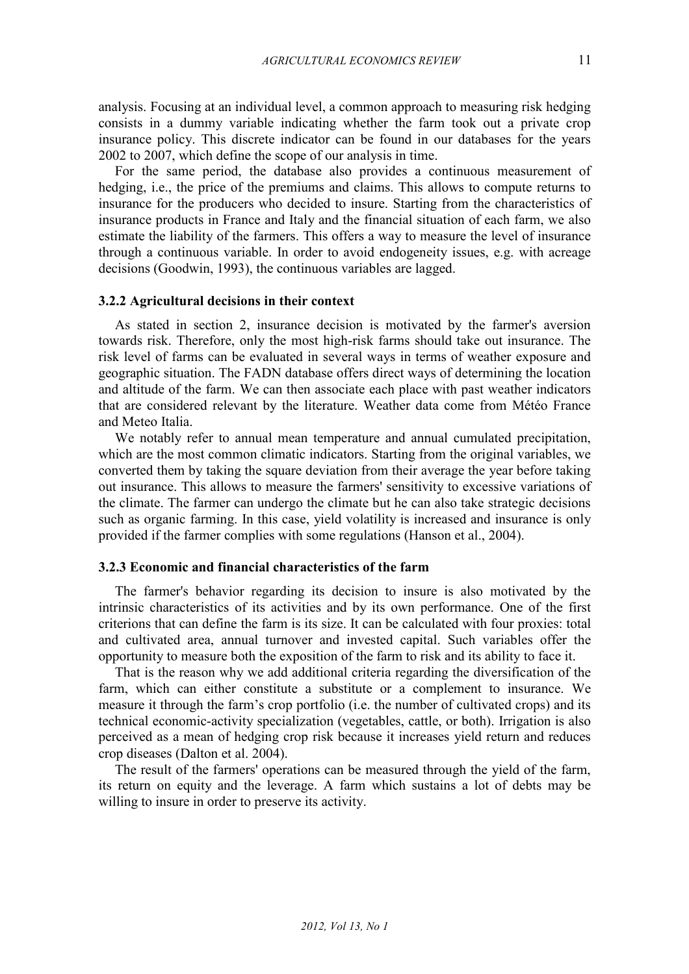analysis. Focusing at an individual level, a common approach to measuring risk hedging consists in a dummy variable indicating whether the farm took out a private crop insurance policy. This discrete indicator can be found in our databases for the years 2002 to 2007, which define the scope of our analysis in time.

For the same period, the database also provides a continuous measurement of hedging, i.e., the price of the premiums and claims. This allows to compute returns to insurance for the producers who decided to insure. Starting from the characteristics of insurance products in France and Italy and the financial situation of each farm, we also estimate the liability of the farmers. This offers a way to measure the level of insurance through a continuous variable. In order to avoid endogeneity issues, e.g. with acreage decisions (Goodwin, 1993), the continuous variables are lagged.

### **3.2.2 Agricultural decisions in their context**

As stated in section 2, insurance decision is motivated by the farmer's aversion towards risk. Therefore, only the most high-risk farms should take out insurance. The risk level of farms can be evaluated in several ways in terms of weather exposure and geographic situation. The FADN database offers direct ways of determining the location and altitude of the farm. We can then associate each place with past weather indicators that are considered relevant by the literature. Weather data come from Météo France and Meteo Italia.

We notably refer to annual mean temperature and annual cumulated precipitation, which are the most common climatic indicators. Starting from the original variables, we converted them by taking the square deviation from their average the year before taking out insurance. This allows to measure the farmers' sensitivity to excessive variations of the climate. The farmer can undergo the climate but he can also take strategic decisions such as organic farming. In this case, yield volatility is increased and insurance is only provided if the farmer complies with some regulations (Hanson et al., 2004).

#### **3.2.3 Economic and financial characteristics of the farm**

The farmer's behavior regarding its decision to insure is also motivated by the intrinsic characteristics of its activities and by its own performance. One of the first criterions that can define the farm is its size. It can be calculated with four proxies: total and cultivated area, annual turnover and invested capital. Such variables offer the opportunity to measure both the exposition of the farm to risk and its ability to face it.

That is the reason why we add additional criteria regarding the diversification of the farm, which can either constitute a substitute or a complement to insurance. We measure it through the farm's crop portfolio (i.e. the number of cultivated crops) and its technical economic-activity specialization (vegetables, cattle, or both). Irrigation is also perceived as a mean of hedging crop risk because it increases yield return and reduces crop diseases (Dalton et al. 2004).

The result of the farmers' operations can be measured through the yield of the farm, its return on equity and the leverage. A farm which sustains a lot of debts may be willing to insure in order to preserve its activity.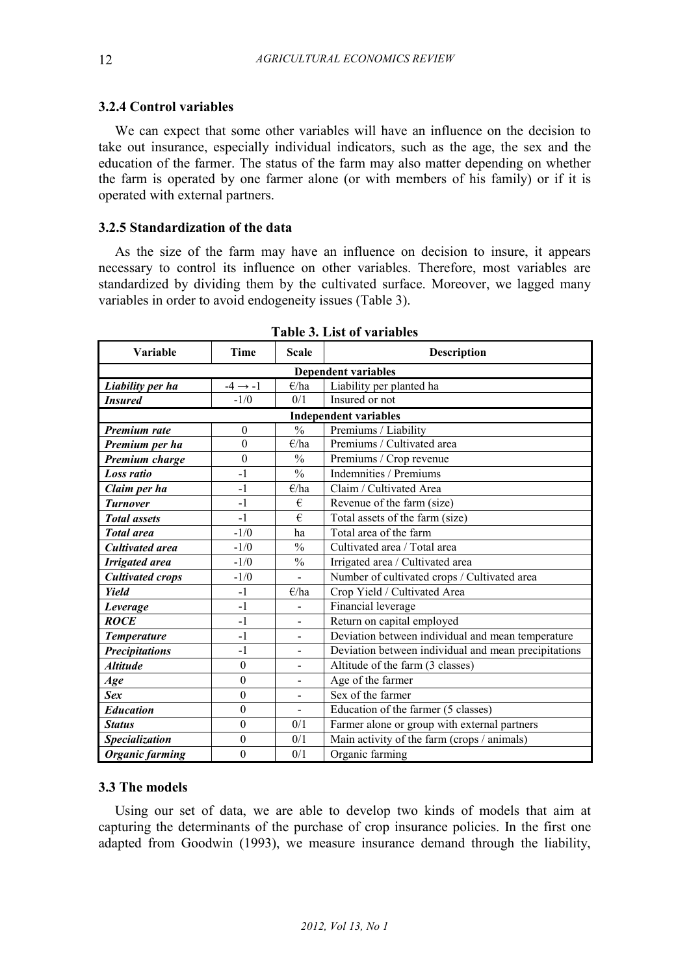## **3.2.4 Control variables**

We can expect that some other variables will have an influence on the decision to take out insurance, especially individual indicators, such as the age, the sex and the education of the farmer. The status of the farm may also matter depending on whether the farm is operated by one farmer alone (or with members of his family) or if it is operated with external partners.

## **3.2.5 Standardization of the data**

As the size of the farm may have an influence on decision to insure, it appears necessary to control its influence on other variables. Therefore, most variables are standardized by dividing them by the cultivated surface. Moreover, we lagged many variables in order to avoid endogeneity issues (Table 3).

| Variable                | <b>Time</b>         | <b>Scale</b>   | Description                                          |  |  |  |
|-------------------------|---------------------|----------------|------------------------------------------------------|--|--|--|
|                         |                     |                | <b>Dependent variables</b>                           |  |  |  |
| Liability per ha        | $-4 \rightarrow -1$ | $\epsilon$ /ha | Liability per planted ha                             |  |  |  |
| <b>Insured</b>          | $-1/0$              | 0/1            | Insured or not                                       |  |  |  |
|                         |                     |                | <b>Independent variables</b>                         |  |  |  |
| <b>Premium</b> rate     | $\boldsymbol{0}$    | $\frac{0}{0}$  | Premiums / Liability                                 |  |  |  |
| Premium per ha          | $\overline{0}$      | E/ha           | Premiums / Cultivated area                           |  |  |  |
| Premium charge          | $\overline{0}$      | $\frac{0}{0}$  | Premiums / Crop revenue                              |  |  |  |
| Loss ratio              | $-1$                | $\frac{0}{0}$  | <b>Indemnities / Premiums</b>                        |  |  |  |
| Claim per ha            | $-1$                | $\epsilon$ /ha | Claim / Cultivated Area                              |  |  |  |
| <b>Turnover</b>         | $-1$                | €              | Revenue of the farm (size)                           |  |  |  |
| <b>Total</b> assets     | $-1$                | €              | Total assets of the farm (size)                      |  |  |  |
| <b>Total</b> area       | $-1/0$              | ha             | Total area of the farm                               |  |  |  |
| <b>Cultivated area</b>  | $-1/0$              | $\frac{0}{0}$  | Cultivated area / Total area                         |  |  |  |
| <b>Irrigated</b> area   | $-1/0$              | $\frac{0}{0}$  | Irrigated area / Cultivated area                     |  |  |  |
| <b>Cultivated crops</b> | $-1/0$              | $\overline{a}$ | Number of cultivated crops / Cultivated area         |  |  |  |
| <b>Yield</b>            | $-1$                | E/ha           | Crop Yield / Cultivated Area                         |  |  |  |
| Leverage                | $-1$                |                | Financial leverage                                   |  |  |  |
| <b>ROCE</b>             | $-1$                |                | Return on capital employed                           |  |  |  |
| <b>Temperature</b>      | $-1$                | $\blacksquare$ | Deviation between individual and mean temperature    |  |  |  |
| <b>Precipitations</b>   | $-1$                |                | Deviation between individual and mean precipitations |  |  |  |
| <b>Altitude</b>         | $\theta$            |                | Altitude of the farm (3 classes)                     |  |  |  |
| Age                     | $\boldsymbol{0}$    |                | Age of the farmer                                    |  |  |  |
| <b>Sex</b>              | $\overline{0}$      |                | Sex of the farmer                                    |  |  |  |
| <b>Education</b>        | $\overline{0}$      | $\blacksquare$ | Education of the farmer (5 classes)                  |  |  |  |
| <b>Status</b>           | $\boldsymbol{0}$    | 0/1            | Farmer alone or group with external partners         |  |  |  |
| Specialization          | $\theta$            | 0/1            | Main activity of the farm (crops / animals)          |  |  |  |
| <b>Organic</b> farming  | $\overline{0}$      | 0/1            | Organic farming                                      |  |  |  |

#### **Table 3. List of variables**

## **3.3 The models**

Using our set of data, we are able to develop two kinds of models that aim at capturing the determinants of the purchase of crop insurance policies. In the first one adapted from Goodwin (1993), we measure insurance demand through the liability,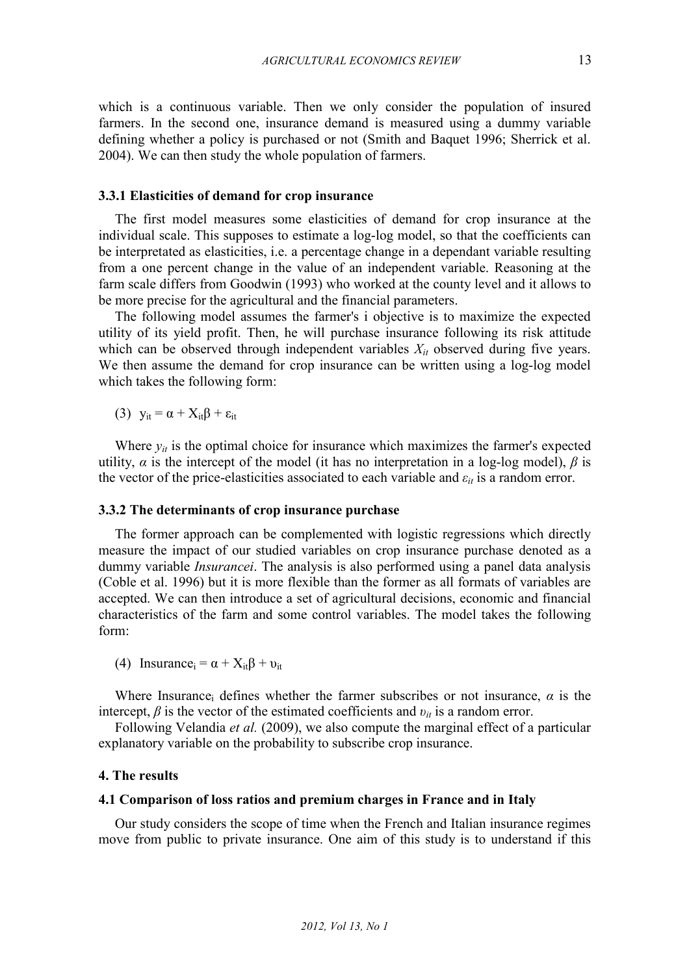which is a continuous variable. Then we only consider the population of insured farmers. In the second one, insurance demand is measured using a dummy variable defining whether a policy is purchased or not (Smith and Baquet 1996; Sherrick et al. 2004). We can then study the whole population of farmers.

## **3.3.1 Elasticities of demand for crop insurance**

The first model measures some elasticities of demand for crop insurance at the individual scale. This supposes to estimate a log-log model, so that the coefficients can be interpretated as elasticities, i.e. a percentage change in a dependant variable resulting from a one percent change in the value of an independent variable. Reasoning at the farm scale differs from Goodwin (1993) who worked at the county level and it allows to be more precise for the agricultural and the financial parameters.

The following model assumes the farmer's i objective is to maximize the expected utility of its yield profit. Then, he will purchase insurance following its risk attitude which can be observed through independent variables  $X_i$  observed during five years. We then assume the demand for crop insurance can be written using a log-log model which takes the following form:

(3)  $y_{it} = \alpha + X_{it}\beta + \varepsilon_{it}$ 

Where  $y_{it}$  is the optimal choice for insurance which maximizes the farmer's expected utility,  $\alpha$  is the intercept of the model (it has no interpretation in a log-log model),  $\beta$  is the vector of the price-elasticities associated to each variable and  $\varepsilon_{it}$  is a random error.

#### **3.3.2 The determinants of crop insurance purchase**

The former approach can be complemented with logistic regressions which directly measure the impact of our studied variables on crop insurance purchase denoted as a dummy variable *Insurancei*. The analysis is also performed using a panel data analysis (Coble et al. 1996) but it is more flexible than the former as all formats of variables are accepted. We can then introduce a set of agricultural decisions, economic and financial characteristics of the farm and some control variables. The model takes the following form:

(4) Insurance<sub>i</sub> =  $\alpha + X_{it}\beta + \nu_{it}$ 

Where Insurance<sub>i</sub> defines whether the farmer subscribes or not insurance,  $\alpha$  is the intercept,  $\beta$  is the vector of the estimated coefficients and  $v_{it}$  is a random error.

Following Velandia *et al.* (2009), we also compute the marginal effect of a particular explanatory variable on the probability to subscribe crop insurance.

#### **4. The results**

#### **4.1 Comparison of loss ratios and premium charges in France and in Italy**

Our study considers the scope of time when the French and Italian insurance regimes move from public to private insurance. One aim of this study is to understand if this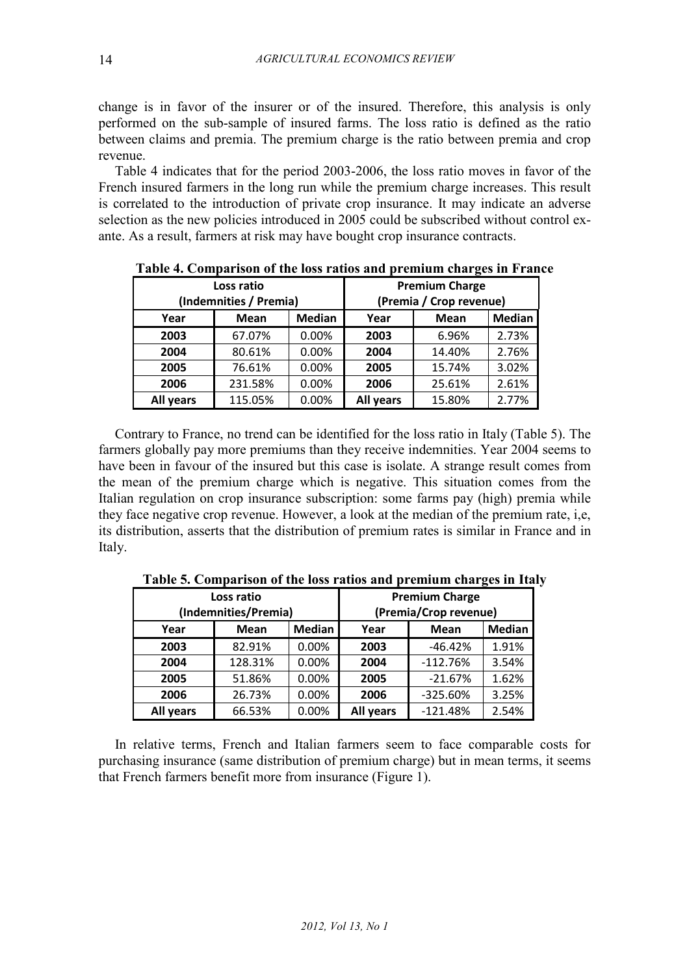change is in favor of the insurer or of the insured. Therefore, this analysis is only performed on the sub-sample of insured farms. The loss ratio is defined as the ratio between claims and premia. The premium charge is the ratio between premia and crop revenue.

Table 4 indicates that for the period 2003-2006, the loss ratio moves in favor of the French insured farmers in the long run while the premium charge increases. This result is correlated to the introduction of private crop insurance. It may indicate an adverse selection as the new policies introduced in 2005 could be subscribed without control exante. As a result, farmers at risk may have bought crop insurance contracts.

|           | Loss ratio<br>(Indemnities / Premia) | <b>Premium Charge</b><br>(Premia / Crop revenue) |                               |        |       |  |  |
|-----------|--------------------------------------|--------------------------------------------------|-------------------------------|--------|-------|--|--|
| Year      | <b>Mean</b>                          | <b>Median</b>                                    | <b>Median</b><br>Mean<br>Year |        |       |  |  |
| 2003      | 67.07%                               | 0.00%                                            | 2003                          | 6.96%  | 2.73% |  |  |
| 2004      | 80.61%                               | 0.00%                                            | 2004                          | 14.40% | 2.76% |  |  |
| 2005      | 76.61%                               | 0.00%                                            | 2005                          | 15.74% | 3.02% |  |  |
| 2006      | 231.58%                              | 0.00%                                            | 2006                          | 25.61% | 2.61% |  |  |
| All years | 115.05%                              | 0.00%                                            | All years                     | 15.80% | 2.77% |  |  |

**Table 4. Comparison of the loss ratios and premium charges in France**

Contrary to France, no trend can be identified for the loss ratio in Italy (Table 5). The farmers globally pay more premiums than they receive indemnities. Year 2004 seems to have been in favour of the insured but this case is isolate. A strange result comes from the mean of the premium charge which is negative. This situation comes from the Italian regulation on crop insurance subscription: some farms pay (high) premia while they face negative crop revenue. However, a look at the median of the premium rate, i,e, its distribution, asserts that the distribution of premium rates is similar in France and in Italy.

| Loss ratio<br>(Indemnities/Premia) |             |               | <b>Premium Charge</b><br>(Premia/Crop revenue) |            |       |  |
|------------------------------------|-------------|---------------|------------------------------------------------|------------|-------|--|
| Year                               | <b>Mean</b> | <b>Median</b> | <b>Median</b><br>Year<br><b>Mean</b>           |            |       |  |
| 2003                               | 82.91%      | 0.00%         | 2003                                           | $-46.42%$  | 1.91% |  |
| 2004                               | 128.31%     | 0.00%         | 2004                                           | $-112.76%$ | 3.54% |  |
| 2005                               | 51.86%      | 0.00%         | 2005                                           | $-21.67%$  | 1.62% |  |
| 2006                               | 26.73%      | 0.00%         | 2006                                           | $-325.60%$ | 3.25% |  |
| All years                          | 66.53%      | 0.00%         | All years                                      | $-121.48%$ | 2.54% |  |

**Table 5. Comparison of the loss ratios and premium charges in Italy**

In relative terms, French and Italian farmers seem to face comparable costs for purchasing insurance (same distribution of premium charge) but in mean terms, it seems that French farmers benefit more from insurance (Figure 1).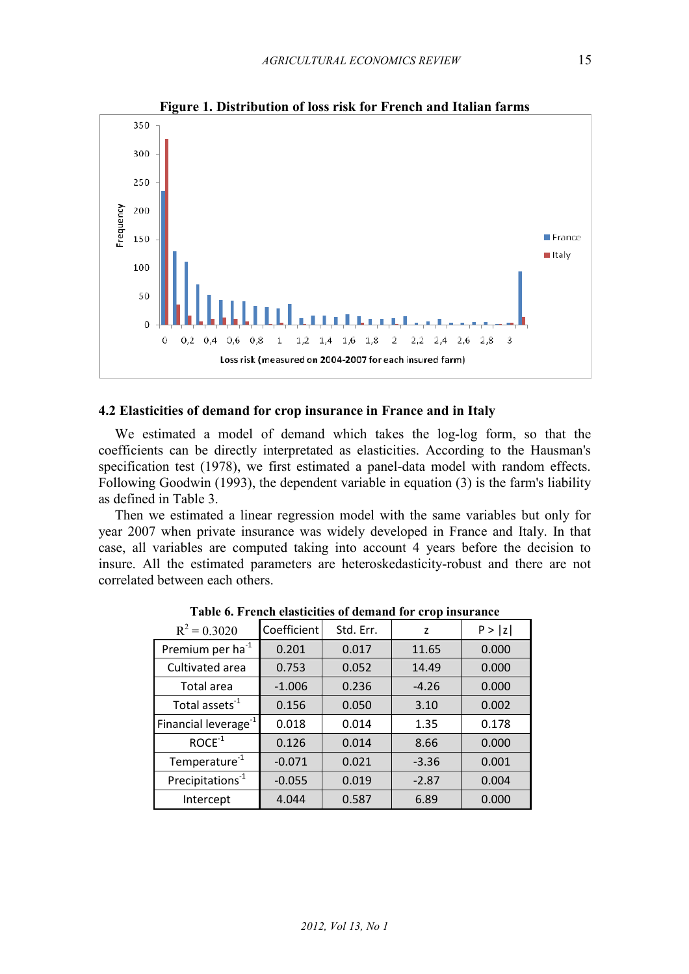

## **Figure 1. Distribution of loss risk for French and Italian farms**

## **4.2 Elasticities of demand for crop insurance in France and in Italy**

We estimated a model of demand which takes the log-log form, so that the coefficients can be directly interpretated as elasticities. According to the Hausman's specification test (1978), we first estimated a panel-data model with random effects. Following Goodwin (1993), the dependent variable in equation (3) is the farm's liability as defined in Table 3.

Then we estimated a linear regression model with the same variables but only for year 2007 when private insurance was widely developed in France and Italy. In that case, all variables are computed taking into account 4 years before the decision to insure. All the estimated parameters are heteroskedasticity-robust and there are not correlated between each others.

| $R^2 = 0.3020$                   | Coefficient | Std. Err. | z       | P >  z |  |
|----------------------------------|-------------|-----------|---------|--------|--|
| Premium per ha <sup>-1</sup>     | 0.201       | 0.017     | 11.65   | 0.000  |  |
| Cultivated area                  | 0.753       | 0.052     | 14.49   | 0.000  |  |
| Total area                       | $-1.006$    | 0.236     | $-4.26$ | 0.000  |  |
| Total assets <sup>-1</sup>       | 0.156       | 0.050     | 3.10    | 0.002  |  |
| Financial leverage <sup>-1</sup> | 0.018       | 0.014     | 1.35    | 0.178  |  |
| $ROCE^{-1}$                      | 0.126       | 0.014     | 8.66    | 0.000  |  |
| Temperature <sup>-1</sup>        | $-0.071$    | 0.021     | $-3.36$ | 0.001  |  |
| Precipitations <sup>-1</sup>     | $-0.055$    | 0.019     | $-2.87$ | 0.004  |  |
| Intercept                        | 4.044       | 0.587     | 6.89    | 0.000  |  |

**Table 6. French elasticities of demand for crop insurance**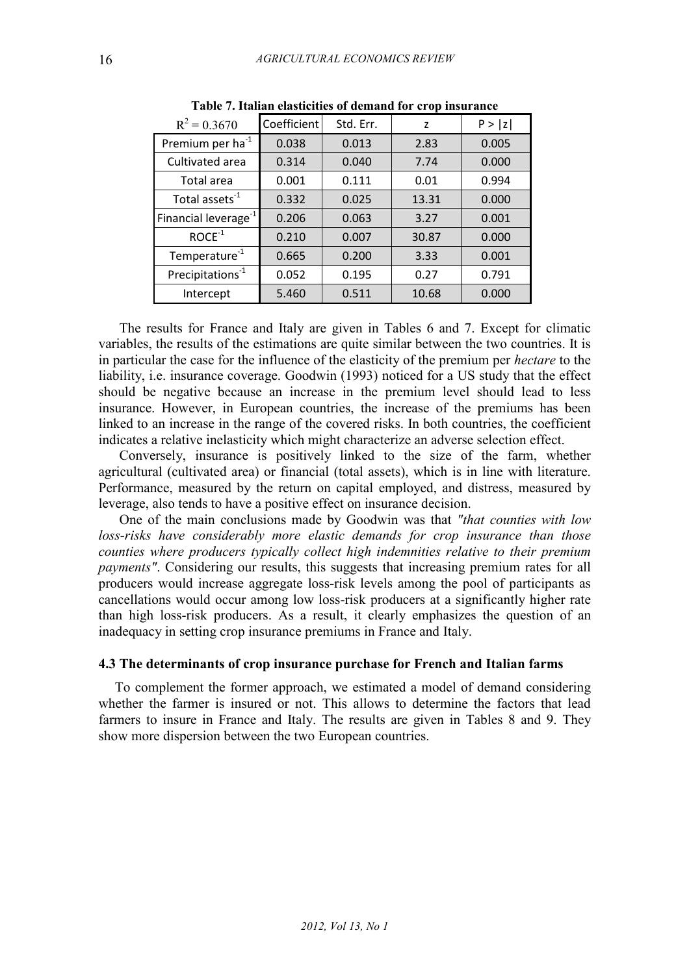| $R^2 = 0.3670$                   | Coefficient | Std. Err. | z     | P >  z |  |
|----------------------------------|-------------|-----------|-------|--------|--|
| Premium per ha <sup>-1</sup>     | 0.038       | 0.013     | 2.83  | 0.005  |  |
| Cultivated area                  | 0.314       | 0.040     | 7.74  | 0.000  |  |
| <b>Total</b> area                | 0.001       | 0.111     | 0.01  | 0.994  |  |
| Total assets <sup>-1</sup>       | 0.332       | 0.025     | 13.31 | 0.000  |  |
| Financial leverage <sup>-1</sup> | 0.206       | 0.063     | 3.27  | 0.001  |  |
| $ROCE^{-1}$                      | 0.210       | 0.007     | 30.87 | 0.000  |  |
| Temperature <sup>-1</sup>        | 0.665       | 0.200     | 3.33  | 0.001  |  |
| Precipitations <sup>-1</sup>     | 0.052       | 0.195     | 0.27  | 0.791  |  |
| Intercept                        | 5.460       | 0.511     | 10.68 | 0.000  |  |

**Table 7. Italian elasticities of demand for crop insurance**

The results for France and Italy are given in Tables 6 and 7. Except for climatic variables, the results of the estimations are quite similar between the two countries. It is in particular the case for the influence of the elasticity of the premium per *hectare* to the liability, i.e. insurance coverage. Goodwin (1993) noticed for a US study that the effect should be negative because an increase in the premium level should lead to less insurance. However, in European countries, the increase of the premiums has been linked to an increase in the range of the covered risks. In both countries, the coefficient indicates a relative inelasticity which might characterize an adverse selection effect.

Conversely, insurance is positively linked to the size of the farm, whether agricultural (cultivated area) or financial (total assets), which is in line with literature. Performance, measured by the return on capital employed, and distress, measured by leverage, also tends to have a positive effect on insurance decision.

One of the main conclusions made by Goodwin was that *"that counties with low loss-risks have considerably more elastic demands for crop insurance than those counties where producers typically collect high indemnities relative to their premium payments"*. Considering our results, this suggests that increasing premium rates for all producers would increase aggregate loss-risk levels among the pool of participants as cancellations would occur among low loss-risk producers at a significantly higher rate than high loss-risk producers. As a result, it clearly emphasizes the question of an inadequacy in setting crop insurance premiums in France and Italy.

## **4.3 The determinants of crop insurance purchase for French and Italian farms**

To complement the former approach, we estimated a model of demand considering whether the farmer is insured or not. This allows to determine the factors that lead farmers to insure in France and Italy. The results are given in Tables 8 and 9. They show more dispersion between the two European countries.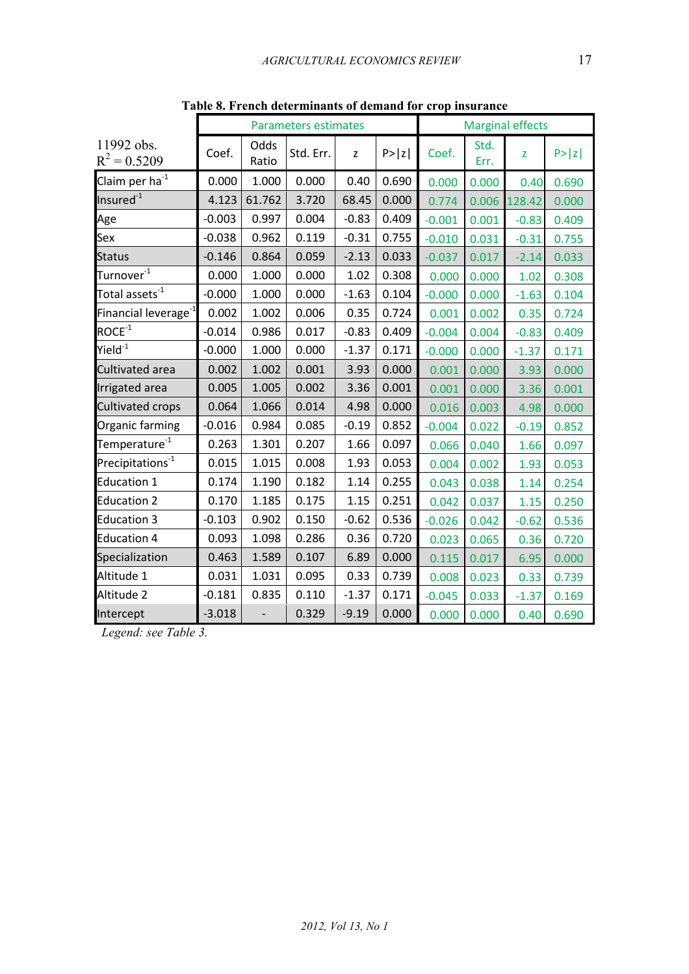|                                  | <b>Parameters estimates</b> |               |           |         | <b>Marginal effects</b> |          |              |         |        |
|----------------------------------|-----------------------------|---------------|-----------|---------|-------------------------|----------|--------------|---------|--------|
| 11992 obs.<br>$R^2 = 0.5209$     | Coef.                       | Odds<br>Ratio | Std. Err. | Z       | P >  z                  | Coef.    | Std.<br>Err. | z       | P >  z |
| Claim per ha $^{-1}$             | 0.000                       | 1.000         | 0.000     | 0.40    | 0.690                   | 0.000    | 0.000        | 0.40    | 0.690  |
| Insured $1$                      | 4.123                       | 61.762        | 3.720     | 68.45   | 0.000                   | 0.774    | 0.006        | 128.42  | 0.000  |
| Age                              | $-0.003$                    | 0.997         | 0.004     | $-0.83$ | 0.409                   | $-0.001$ | 0.001        | $-0.83$ | 0.409  |
| Sex                              | $-0.038$                    | 0.962         | 0.119     | $-0.31$ | 0.755                   | $-0.010$ | 0.031        | $-0.31$ | 0.755  |
| <b>Status</b>                    | $-0.146$                    | 0.864         | 0.059     | $-2.13$ | 0.033                   | $-0.037$ | 0.017        | $-2.14$ | 0.033  |
| Turnover <sup>-1</sup>           | 0.000                       | 1.000         | 0.000     | 1.02    | 0.308                   | 0.000    | 0.000        | 1.02    | 0.308  |
| Total assets $^{-1}$             | $-0.000$                    | 1.000         | 0.000     | $-1.63$ | 0.104                   | $-0.000$ | 0.000        | $-1.63$ | 0.104  |
| Financial leverage <sup>-1</sup> | 0.002                       | 1.002         | 0.006     | 0.35    | 0.724                   | 0.001    | 0.002        | 0.35    | 0.724  |
| $ROCE^{-1}$                      | $-0.014$                    | 0.986         | 0.017     | $-0.83$ | 0.409                   | $-0.004$ | 0.004        | $-0.83$ | 0.409  |
| Yield $1$                        | $-0.000$                    | 1.000         | 0.000     | $-1.37$ | 0.171                   | $-0.000$ | 0.000        | $-1.37$ | 0.171  |
| Cultivated area                  | 0.002                       | 1.002         | 0.001     | 3.93    | 0.000                   | 0.001    | 0.000        | 3.93    | 0.000  |
| Irrigated area                   | 0.005                       | 1.005         | 0.002     | 3.36    | 0.001                   | 0.001    | 0.000        | 3.36    | 0.001  |
| <b>Cultivated crops</b>          | 0.064                       | 1.066         | 0.014     | 4.98    | 0.000                   | 0.016    | 0.003        | 4.98    | 0.000  |
| Organic farming                  | $-0.016$                    | 0.984         | 0.085     | $-0.19$ | 0.852                   | $-0.004$ | 0.022        | $-0.19$ | 0.852  |
| Temperature $^{-1}$              | 0.263                       | 1.301         | 0.207     | 1.66    | 0.097                   | 0.066    | 0.040        | 1.66    | 0.097  |
| Precipitations $^{-1}$           | 0.015                       | 1.015         | 0.008     | 1.93    | 0.053                   | 0.004    | 0.002        | 1.93    | 0.053  |
| <b>Education 1</b>               | 0.174                       | 1.190         | 0.182     | 1.14    | 0.255                   | 0.043    | 0.038        | 1.14    | 0.254  |
| <b>Education 2</b>               | 0.170                       | 1.185         | 0.175     | 1.15    | 0.251                   | 0.042    | 0.037        | 1.15    | 0.250  |
| <b>Education 3</b>               | $-0.103$                    | 0.902         | 0.150     | $-0.62$ | 0.536                   | $-0.026$ | 0.042        | $-0.62$ | 0.536  |
| <b>Education 4</b>               | 0.093                       | 1.098         | 0.286     | 0.36    | 0.720                   | 0.023    | 0.065        | 0.36    | 0.720  |
| Specialization                   | 0.463                       | 1.589         | 0.107     | 6.89    | 0.000                   | 0.115    | 0.017        | 6.95    | 0.000  |
| Altitude 1                       | 0.031                       | 1.031         | 0.095     | 0.33    | 0.739                   | 0.008    | 0.023        | 0.33    | 0.739  |
| Altitude 2                       | $-0.181$                    | 0.835         | 0.110     | $-1.37$ | 0.171                   | $-0.045$ | 0.033        | $-1.37$ | 0.169  |
| Intercept                        | $-3.018$                    |               | 0.329     | $-9.19$ | 0.000                   | 0.000    | 0.000        | 0.40    | 0.690  |

**Table 8. French determinants of demand for crop insurance**

 *Legend: see Table 3.*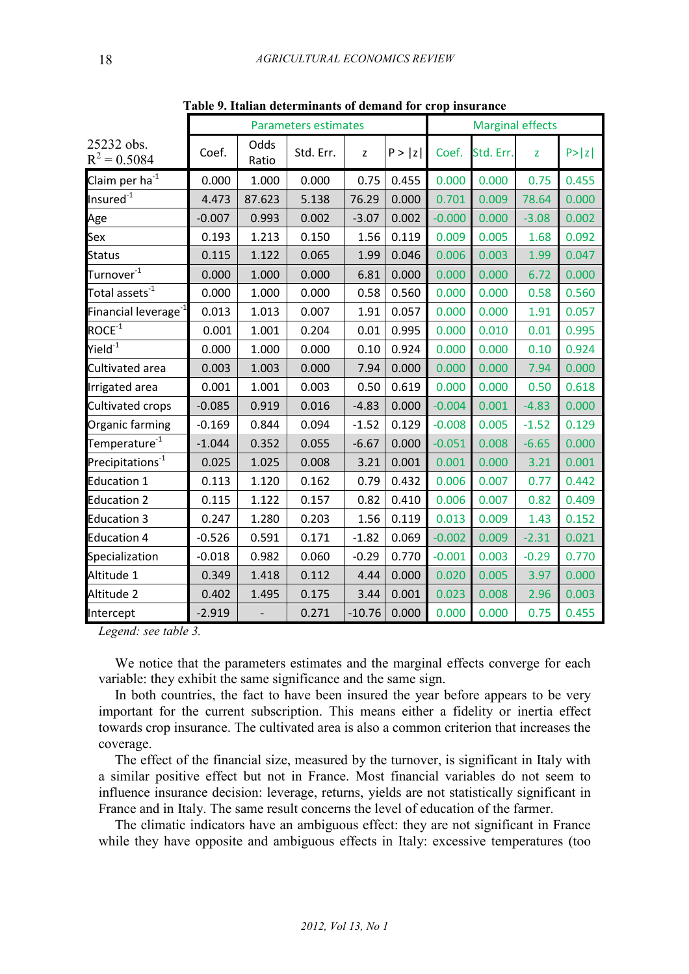|                                  | <b>Parameters estimates</b> |               |           |             |        | <b>Marginal effects</b> |           |         |        |
|----------------------------------|-----------------------------|---------------|-----------|-------------|--------|-------------------------|-----------|---------|--------|
| 25232 obs.<br>$R^2 = 0.5084$     | Coef.                       | Odds<br>Ratio | Std. Err. | $\mathsf Z$ | P >  z | Coef.                   | Std. Err. | z       | P >  z |
| Claim per ha $^{-1}$             | 0.000                       | 1.000         | 0.000     | 0.75        | 0.455  | 0.000                   | 0.000     | 0.75    | 0.455  |
| Insured $1$                      | 4.473                       | 87.623        | 5.138     | 76.29       | 0.000  | 0.701                   | 0.009     | 78.64   | 0.000  |
| Age                              | $-0.007$                    | 0.993         | 0.002     | $-3.07$     | 0.002  | $-0.000$                | 0.000     | $-3.08$ | 0.002  |
| Sex                              | 0.193                       | 1.213         | 0.150     | 1.56        | 0.119  | 0.009                   | 0.005     | 1.68    | 0.092  |
| <b>Status</b>                    | 0.115                       | 1.122         | 0.065     | 1.99        | 0.046  | 0.006                   | 0.003     | 1.99    | 0.047  |
| Turnover $1$                     | 0.000                       | 1.000         | 0.000     | 6.81        | 0.000  | 0.000                   | 0.000     | 6.72    | 0.000  |
| Total assets $^{-1}$             | 0.000                       | 1.000         | 0.000     | 0.58        | 0.560  | 0.000                   | 0.000     | 0.58    | 0.560  |
| Financial leverage <sup>-1</sup> | 0.013                       | 1.013         | 0.007     | 1.91        | 0.057  | 0.000                   | 0.000     | 1.91    | 0.057  |
| $ROCE^{-1}$                      | 0.001                       | 1.001         | 0.204     | 0.01        | 0.995  | 0.000                   | 0.010     | 0.01    | 0.995  |
| Yield $1$                        | 0.000                       | 1.000         | 0.000     | 0.10        | 0.924  | 0.000                   | 0.000     | 0.10    | 0.924  |
| Cultivated area                  | 0.003                       | 1.003         | 0.000     | 7.94        | 0.000  | 0.000                   | 0.000     | 7.94    | 0.000  |
| Irrigated area                   | 0.001                       | 1.001         | 0.003     | 0.50        | 0.619  | 0.000                   | 0.000     | 0.50    | 0.618  |
| Cultivated crops                 | $-0.085$                    | 0.919         | 0.016     | $-4.83$     | 0.000  | $-0.004$                | 0.001     | $-4.83$ | 0.000  |
| Organic farming                  | $-0.169$                    | 0.844         | 0.094     | $-1.52$     | 0.129  | $-0.008$                | 0.005     | $-1.52$ | 0.129  |
| Temperature <sup>-1</sup>        | $-1.044$                    | 0.352         | 0.055     | $-6.67$     | 0.000  | $-0.051$                | 0.008     | $-6.65$ | 0.000  |
| Precipitations <sup>-1</sup>     | 0.025                       | 1.025         | 0.008     | 3.21        | 0.001  | 0.001                   | 0.000     | 3.21    | 0.001  |
| <b>Education 1</b>               | 0.113                       | 1.120         | 0.162     | 0.79        | 0.432  | 0.006                   | 0.007     | 0.77    | 0.442  |
| <b>Education 2</b>               | 0.115                       | 1.122         | 0.157     | 0.82        | 0.410  | 0.006                   | 0.007     | 0.82    | 0.409  |
| <b>Education 3</b>               | 0.247                       | 1.280         | 0.203     | 1.56        | 0.119  | 0.013                   | 0.009     | 1.43    | 0.152  |
| <b>Education 4</b>               | $-0.526$                    | 0.591         | 0.171     | $-1.82$     | 0.069  | $-0.002$                | 0.009     | $-2.31$ | 0.021  |
| Specialization                   | $-0.018$                    | 0.982         | 0.060     | $-0.29$     | 0.770  | $-0.001$                | 0.003     | $-0.29$ | 0.770  |
| Altitude 1                       | 0.349                       | 1.418         | 0.112     | 4.44        | 0.000  | 0.020                   | 0.005     | 3.97    | 0.000  |
| Altitude 2                       | 0.402                       | 1.495         | 0.175     | 3.44        | 0.001  | 0.023                   | 0.008     | 2.96    | 0.003  |
| Intercept                        | $-2.919$                    |               | 0.271     | $-10.76$    | 0.000  | 0.000                   | 0.000     | 0.75    | 0.455  |

**Table 9. Italian determinants of demand for crop insurance**

*Legend: see table 3.* 

We notice that the parameters estimates and the marginal effects converge for each variable: they exhibit the same significance and the same sign.

In both countries, the fact to have been insured the year before appears to be very important for the current subscription. This means either a fidelity or inertia effect towards crop insurance. The cultivated area is also a common criterion that increases the coverage.

The effect of the financial size, measured by the turnover, is significant in Italy with a similar positive effect but not in France. Most financial variables do not seem to influence insurance decision: leverage, returns, yields are not statistically significant in France and in Italy. The same result concerns the level of education of the farmer.

The climatic indicators have an ambiguous effect: they are not significant in France while they have opposite and ambiguous effects in Italy: excessive temperatures (too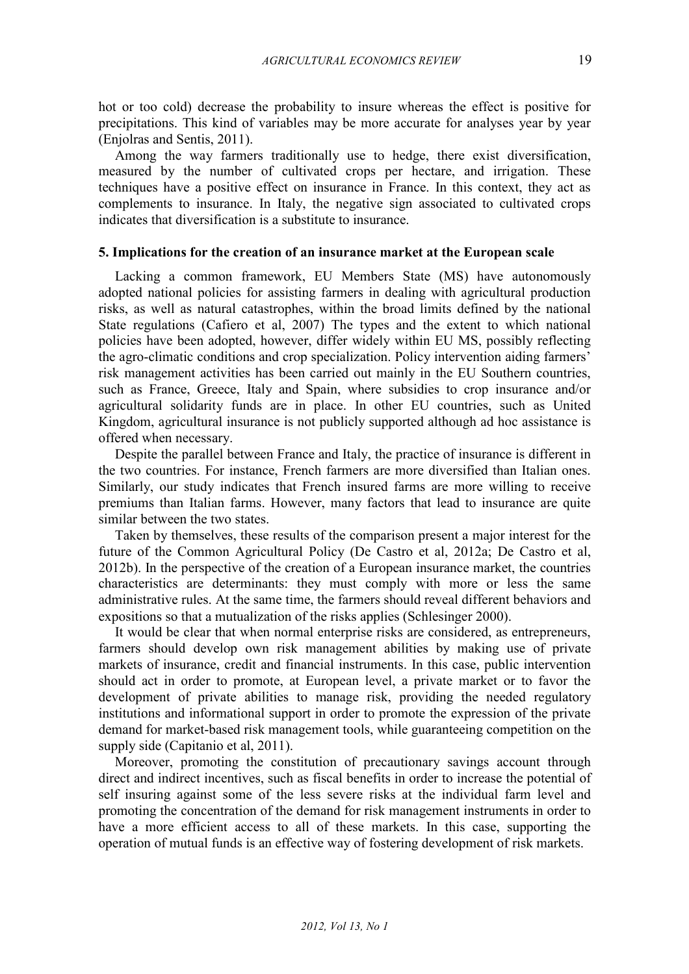hot or too cold) decrease the probability to insure whereas the effect is positive for precipitations. This kind of variables may be more accurate for analyses year by year (Enjolras and Sentis, 2011).

Among the way farmers traditionally use to hedge, there exist diversification, measured by the number of cultivated crops per hectare, and irrigation. These techniques have a positive effect on insurance in France. In this context, they act as complements to insurance. In Italy, the negative sign associated to cultivated crops indicates that diversification is a substitute to insurance.

## **5. Implications for the creation of an insurance market at the European scale**

Lacking a common framework, EU Members State (MS) have autonomously adopted national policies for assisting farmers in dealing with agricultural production risks, as well as natural catastrophes, within the broad limits defined by the national State regulations (Cafiero et al, 2007) The types and the extent to which national policies have been adopted, however, differ widely within EU MS, possibly reflecting the agro-climatic conditions and crop specialization. Policy intervention aiding farmers' risk management activities has been carried out mainly in the EU Southern countries, such as France, Greece, Italy and Spain, where subsidies to crop insurance and/or agricultural solidarity funds are in place. In other EU countries, such as United Kingdom, agricultural insurance is not publicly supported although ad hoc assistance is offered when necessary.

Despite the parallel between France and Italy, the practice of insurance is different in the two countries. For instance, French farmers are more diversified than Italian ones. Similarly, our study indicates that French insured farms are more willing to receive premiums than Italian farms. However, many factors that lead to insurance are quite similar between the two states.

Taken by themselves, these results of the comparison present a major interest for the future of the Common Agricultural Policy (De Castro et al, 2012a; De Castro et al, 2012b). In the perspective of the creation of a European insurance market, the countries characteristics are determinants: they must comply with more or less the same administrative rules. At the same time, the farmers should reveal different behaviors and expositions so that a mutualization of the risks applies (Schlesinger 2000).

It would be clear that when normal enterprise risks are considered, as entrepreneurs, farmers should develop own risk management abilities by making use of private markets of insurance, credit and financial instruments. In this case, public intervention should act in order to promote, at European level, a private market or to favor the development of private abilities to manage risk, providing the needed regulatory institutions and informational support in order to promote the expression of the private demand for market-based risk management tools, while guaranteeing competition on the supply side (Capitanio et al, 2011).

Moreover, promoting the constitution of precautionary savings account through direct and indirect incentives, such as fiscal benefits in order to increase the potential of self insuring against some of the less severe risks at the individual farm level and promoting the concentration of the demand for risk management instruments in order to have a more efficient access to all of these markets. In this case, supporting the operation of mutual funds is an effective way of fostering development of risk markets.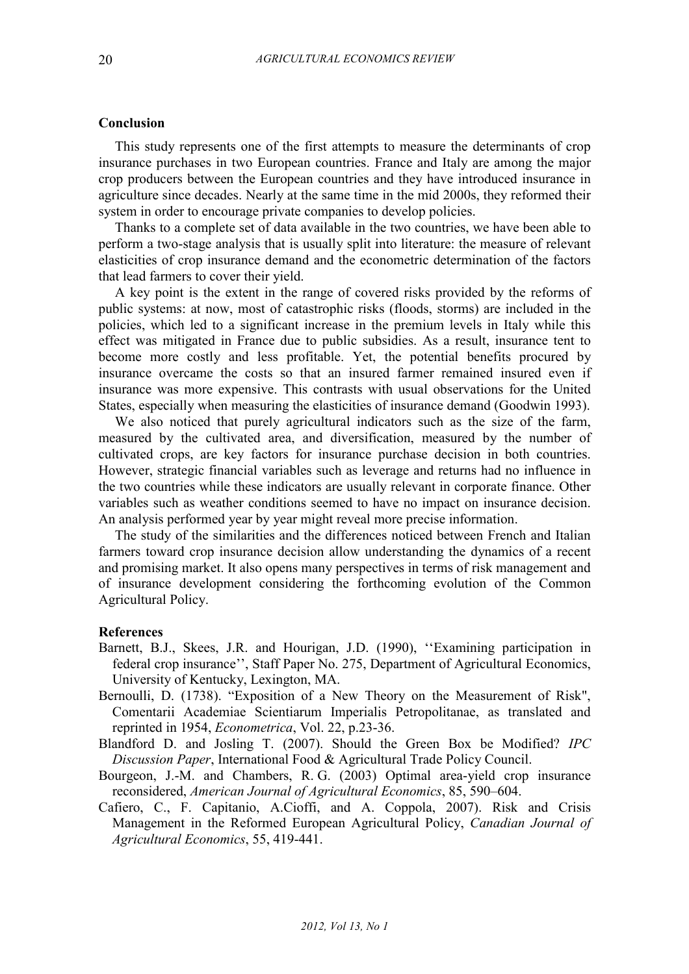#### **Conclusion**

This study represents one of the first attempts to measure the determinants of crop insurance purchases in two European countries. France and Italy are among the major crop producers between the European countries and they have introduced insurance in agriculture since decades. Nearly at the same time in the mid 2000s, they reformed their system in order to encourage private companies to develop policies.

Thanks to a complete set of data available in the two countries, we have been able to perform a two-stage analysis that is usually split into literature: the measure of relevant elasticities of crop insurance demand and the econometric determination of the factors that lead farmers to cover their yield.

A key point is the extent in the range of covered risks provided by the reforms of public systems: at now, most of catastrophic risks (floods, storms) are included in the policies, which led to a significant increase in the premium levels in Italy while this effect was mitigated in France due to public subsidies. As a result, insurance tent to become more costly and less profitable. Yet, the potential benefits procured by insurance overcame the costs so that an insured farmer remained insured even if insurance was more expensive. This contrasts with usual observations for the United States, especially when measuring the elasticities of insurance demand (Goodwin 1993).

We also noticed that purely agricultural indicators such as the size of the farm, measured by the cultivated area, and diversification, measured by the number of cultivated crops, are key factors for insurance purchase decision in both countries. However, strategic financial variables such as leverage and returns had no influence in the two countries while these indicators are usually relevant in corporate finance. Other variables such as weather conditions seemed to have no impact on insurance decision. An analysis performed year by year might reveal more precise information.

The study of the similarities and the differences noticed between French and Italian farmers toward crop insurance decision allow understanding the dynamics of a recent and promising market. It also opens many perspectives in terms of risk management and of insurance development considering the forthcoming evolution of the Common Agricultural Policy.

#### **References**

- Barnett, B.J., Skees, J.R. and Hourigan, J.D. (1990), ''Examining participation in federal crop insurance'', Staff Paper No. 275, Department of Agricultural Economics, University of Kentucky, Lexington, MA.
- Bernoulli, D. (1738). "Exposition of a New Theory on the Measurement of Risk", Comentarii Academiae Scientiarum Imperialis Petropolitanae, as translated and reprinted in 1954, *Econometrica*, Vol. 22, p.23-36.
- Blandford D. and Josling T. (2007). Should the Green Box be Modified? *IPC Discussion Paper*, International Food & Agricultural Trade Policy Council.
- Bourgeon, J.-M. and Chambers, R. G. (2003) Optimal area-yield crop insurance reconsidered, *American Journal of Agricultural Economics*, 85, 590–604.
- Cafiero, C., F. Capitanio, A.Cioffi, and A. Coppola, 2007). Risk and Crisis Management in the Reformed European Agricultural Policy, *Canadian Journal of Agricultural Economics*, 55, 419-441.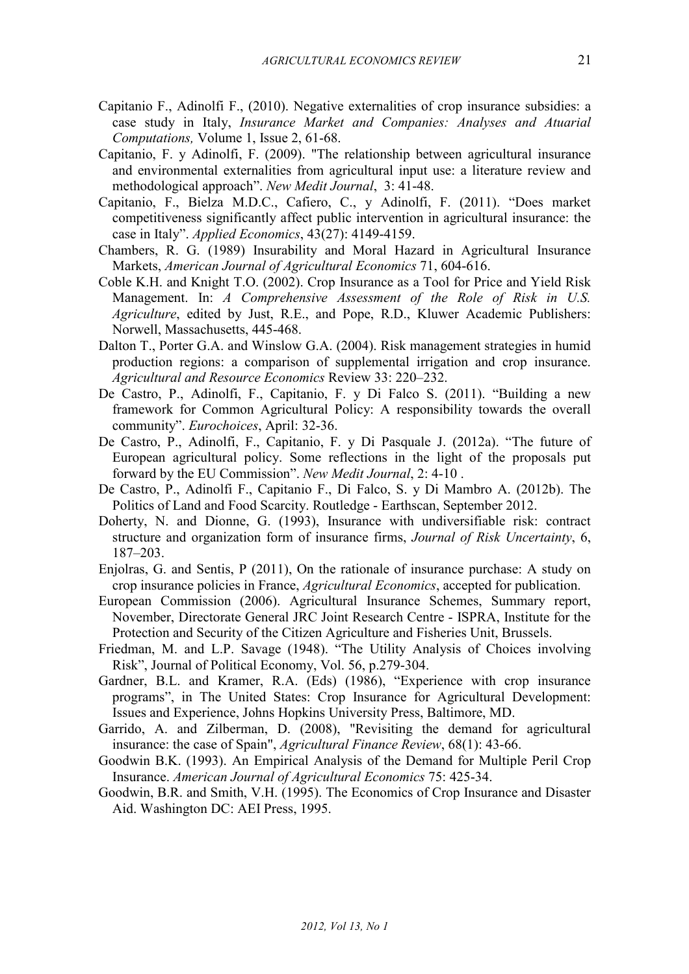- Capitanio F., Adinolfi F., (2010). Negative externalities of crop insurance subsidies: a case study in Italy, *Insurance Market and Companies: Analyses and Atuarial Computations,* Volume 1, Issue 2, 61-68.
- Capitanio, F. y Adinolfi, F. (2009). "The relationship between agricultural insurance and environmental externalities from agricultural input use: a literature review and methodological approach". New Medit Journal, 3:41-48.
- Capitanio, F., Bielza M.D.C., Cafiero, C., y Adinolfi, F. (2011). "Does market competitiveness significantly affect public intervention in agricultural insurance: the case in Italy". *Applied Economics*, 43(27): 4149-4159.
- Chambers, R. G. (1989) Insurability and Moral Hazard in Agricultural Insurance Markets, *American Journal of Agricultural Economics* 71, 604-616.
- Coble K.H. and Knight T.O. (2002). Crop Insurance as a Tool for Price and Yield Risk Management. In: *A Comprehensive Assessment of the Role of Risk in U.S. Agriculture*, edited by Just, R.E., and Pope, R.D., Kluwer Academic Publishers: Norwell, Massachusetts, 445-468.
- Dalton T., Porter G.A. and Winslow G.A. (2004). Risk management strategies in humid production regions: a comparison of supplemental irrigation and crop insurance. *Agricultural and Resource Economics* Review 33: 220–232.
- De Castro, P., Adinolfi, F., Capitanio, F. y Di Falco S. (2011). "Building a new framework for Common Agricultural Policy: A responsibility towards the overall community". *Eurochoices*, April: 32-36.
- De Castro, P., Adinolfi, F., Capitanio, F. y Di Pasquale J. (2012a). "The future of European agricultural policy. Some reflections in the light of the proposals put forward by the EU Commission". New Medit Journal, 2: 4-10.
- De Castro, P., Adinolfi F., Capitanio F., Di Falco, S. y Di Mambro A. (2012b). The Politics of Land and Food Scarcity. Routledge - Earthscan, September 2012.
- Doherty, N. and Dionne, G. (1993), Insurance with undiversifiable risk: contract structure and organization form of insurance firms, *Journal of Risk Uncertainty*, 6, 187–203.
- Enjolras, G. and Sentis, P (2011), On the rationale of insurance purchase: A study on crop insurance policies in France, *Agricultural Economics*, accepted for publication.
- European Commission (2006). Agricultural Insurance Schemes, Summary report, November, Directorate General JRC Joint Research Centre - ISPRA, Institute for the Protection and Security of the Citizen Agriculture and Fisheries Unit, Brussels.
- Friedman, M. and L.P. Savage (1948). "The Utility Analysis of Choices involving Risk", Journal of Political Economy, Vol. 56, p.279-304.
- Gardner, B.L. and Kramer, R.A. (Eds) (1986), "Experience with crop insurance programs", in The United States: Crop Insurance for Agricultural Development: Issues and Experience, Johns Hopkins University Press, Baltimore, MD.
- Garrido, A. and Zilberman, D. (2008), "Revisiting the demand for agricultural insurance: the case of Spain", *Agricultural Finance Review*, 68(1): 43-66.
- Goodwin B.K. (1993). An Empirical Analysis of the Demand for Multiple Peril Crop Insurance. *American Journal of Agricultural Economics* 75: 425-34.
- Goodwin, B.R. and Smith, V.H. (1995). The Economics of Crop Insurance and Disaster Aid. Washington DC: AEI Press, 1995.